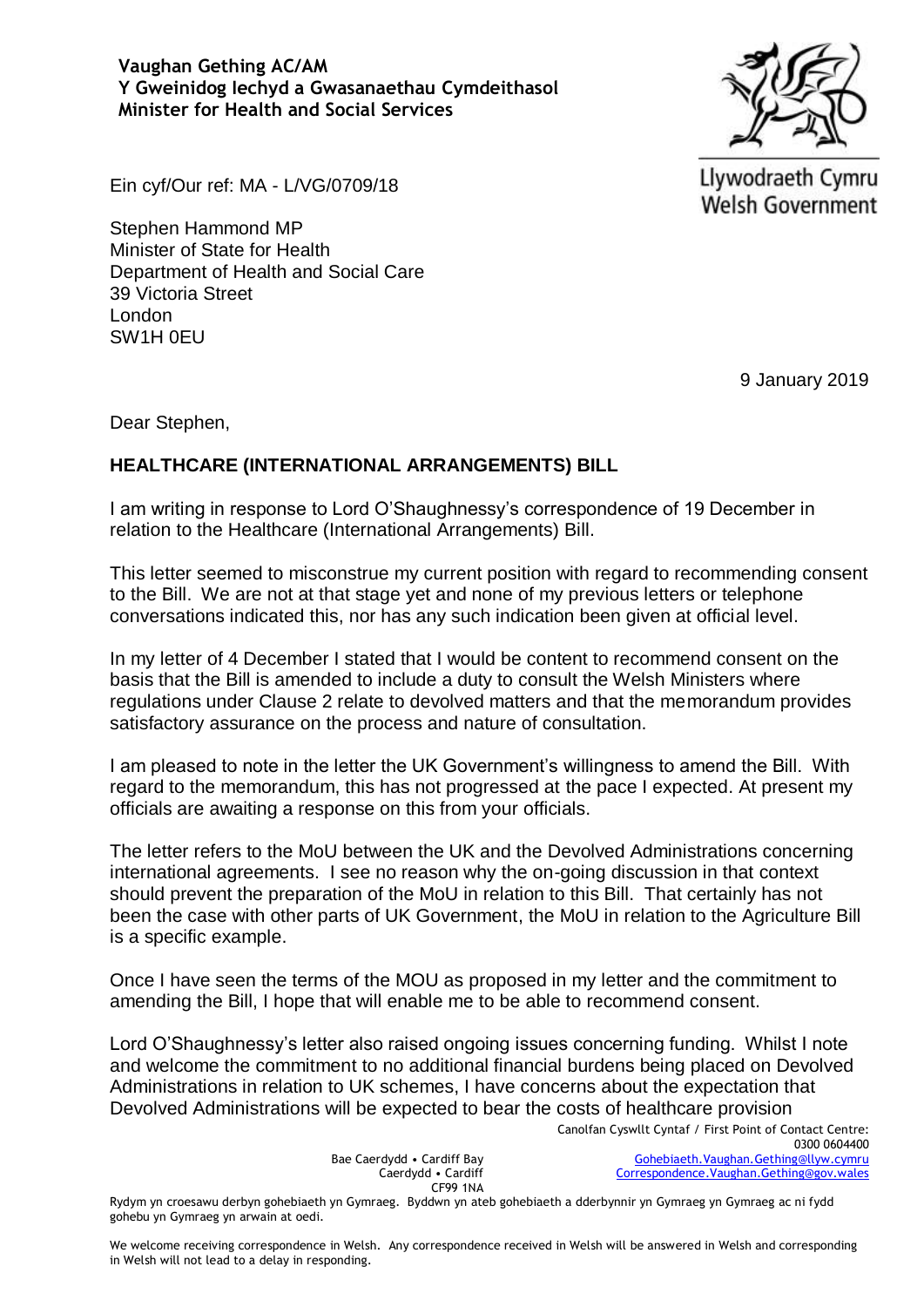**Vaughan Gething AC/AM Y Gweinidog Iechyd a Gwasanaethau Cymdeithasol Minister for Health and Social Services**



Llywodraeth Cymru **Welsh Government** 

Ein cyf/Our ref: MA - L/VG/0709/18

Stephen Hammond MP Minister of State for Health Department of Health and Social Care 39 Victoria Street London SW1H 0EU

9 January 2019

Dear Stephen,

## **HEALTHCARE (INTERNATIONAL ARRANGEMENTS) BILL**

I am writing in response to Lord O'Shaughnessy's correspondence of 19 December in relation to the Healthcare (International Arrangements) Bill.

This letter seemed to misconstrue my current position with regard to recommending consent to the Bill. We are not at that stage yet and none of my previous letters or telephone conversations indicated this, nor has any such indication been given at official level.

In my letter of 4 December I stated that I would be content to recommend consent on the basis that the Bill is amended to include a duty to consult the Welsh Ministers where regulations under Clause 2 relate to devolved matters and that the memorandum provides satisfactory assurance on the process and nature of consultation.

I am pleased to note in the letter the UK Government's willingness to amend the Bill. With regard to the memorandum, this has not progressed at the pace I expected. At present my officials are awaiting a response on this from your officials.

The letter refers to the MoU between the UK and the Devolved Administrations concerning international agreements. I see no reason why the on-going discussion in that context should prevent the preparation of the MoU in relation to this Bill. That certainly has not been the case with other parts of UK Government, the MoU in relation to the Agriculture Bill is a specific example.

Once I have seen the terms of the MOU as proposed in my letter and the commitment to amending the Bill, I hope that will enable me to be able to recommend consent.

Lord O'Shaughnessy's letter also raised ongoing issues concerning funding. Whilst I note and welcome the commitment to no additional financial burdens being placed on Devolved Administrations in relation to UK schemes, I have concerns about the expectation that Devolved Administrations will be expected to bear the costs of healthcare provision

Bae Caerdydd • Cardiff Bay Caerdydd • Cardiff CF99 1NA

Rydym yn croesawu derbyn gohebiaeth yn Gymraeg. Byddwn yn ateb gohebiaeth a dderbynnir yn Gymraeg yn Gymraeg ac ni fydd gohebu yn Gymraeg yn arwain at oedi.

We welcome receiving correspondence in Welsh. Any correspondence received in Welsh will be answered in Welsh and corresponding in Welsh will not lead to a delay in responding.